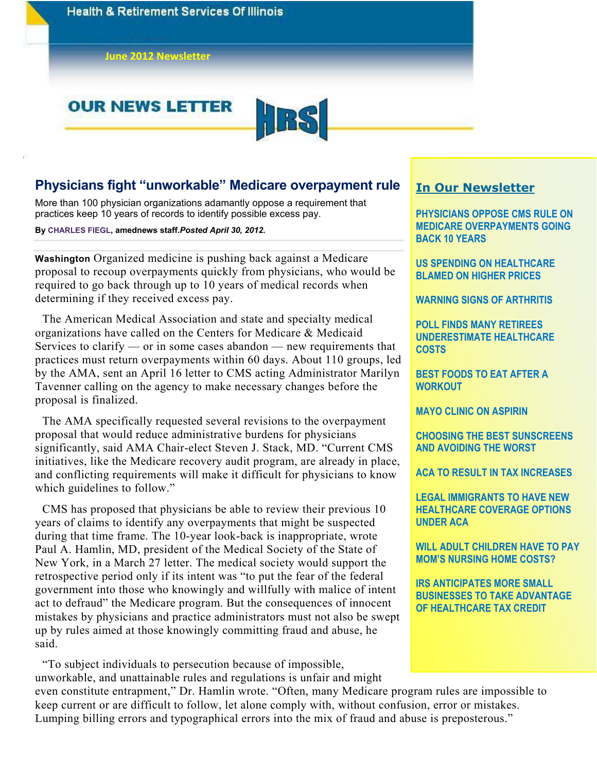

**June 2012 Newsletter**

### **OUR NEWS LETTER**

### **Physicians fight "unworkable" Medicare overpayment rule**

**FBS** 

More than 100 physician organizations adamantly oppose a requirement that practices keep 10 years of records to identify possible excess pay.

**By CHARLES FIEGL, amednews staff.***Posted April 30, 2012.*

**Washington** Organized medicine is pushing back against a Medicare proposal to recoup overpayments quickly from physicians, who would be required to go back through up to 10 years of medical records when determining if they received excess pay.

The American Medical Association and state and specialty medical organizations have called on the Centers for Medicare & Medicaid Services to clarify — or in some cases abandon — new requirements that practices must return overpayments within 60 days. About 110 groups, led by the AMA, sent an April 16 letter to CMS acting Administrator Marilyn Tavenner calling on the agency to make necessary changes before the proposal is finalized.

The AMA specifically requested several revisions to the overpayment proposal that would reduce administrative burdens for physicians significantly, said AMA Chair-elect Steven J. Stack, MD. "Current CMS initiatives, like the Medicare recovery audit program, are already in place, and conflicting requirements will make it difficult for physicians to know which guidelines to follow."

CMS has proposed that physicians be able to review their previous 10 years of claims to identify any overpayments that might be suspected during that time frame. The 10-year look-back is inappropriate, wrote Paul A. Hamlin, MD, president of the Medical Society of the State of New York, in a March 27 letter. The medical society would support the retrospective period only if its intent was "to put the fear of the federal government into those who knowingly and willfully with malice of intent act to defraud" the Medicare program. But the consequences of innocent mistakes by physicians and practice administrators must not also be swept up by rules aimed at those knowingly committing fraud and abuse, he said.

"To subject individuals to persecution because of impossible, unworkable, and unattainable rules and regulations is unfair and might even constitute entrapment," Dr. Hamlin wrote. "Often, many Medicare program rules are impossible to keep current or are difficult to follow, let alone comply with, without confusion, error or mistakes. Lumping billing errors and typographical errors into the mix of fraud and abuse is preposterous."

#### **In Our Newsletter**

**PHYSICIANS OPPOSE CMS RULE ON MEDICARE OVERPAYMENTS GOING BACK 10 YEARS** 

**US SPENDING ON HEALTHCARE BLAMED ON HIGHER PRICES** 

**WARNING SIGNS OF ARTHRITIS** 

**POLL FINDS MANY RETIREES UNDERESTIMATE HEALTHCARE COSTS** 

**BEST FOODS TO EAT AFTER A WORKOUT** 

**MAYO CLINIC ON ASPIRIN** 

**CHOOSING THE BEST SUNSCREENS AND AVOIDING THE WORST** 

**ACA TO RESULT IN TAX INCREASES** 

**LEGAL IMMIGRANTS TO HAVE NEW HEALTHCARE COVERAGE OPTIONS UNDER ACA** 

**WILL ADULT CHILDREN HAVE TO PAY MOM'S NURSING HOME COSTS?** 

**IRS ANTICIPATES MORE SMALL BUSINESSES TO TAKE ADVANTAGE OF HEALTHCARE TAX CREDIT**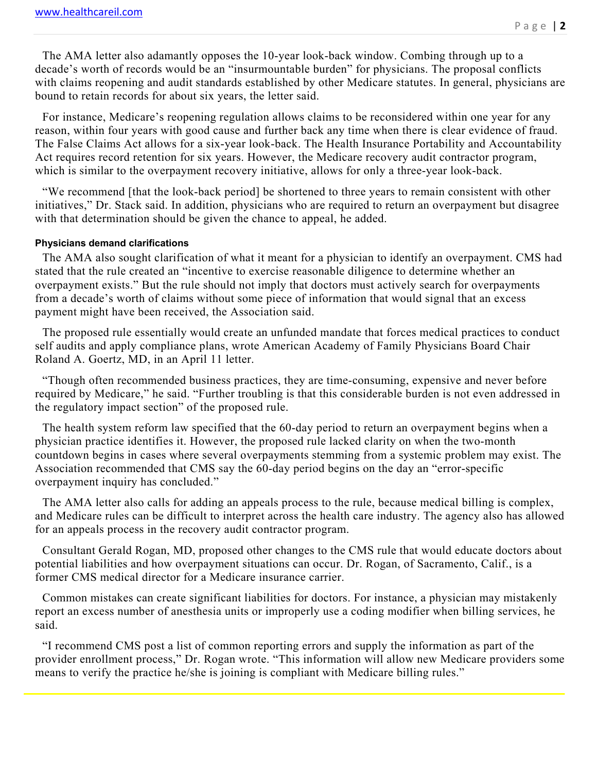The AMA letter also adamantly opposes the 10-year look-back window. Combing through up to a decade's worth of records would be an "insurmountable burden" for physicians. The proposal conflicts with claims reopening and audit standards established by other Medicare statutes. In general, physicians are bound to retain records for about six years, the letter said.

For instance, Medicare's reopening regulation allows claims to be reconsidered within one year for any reason, within four years with good cause and further back any time when there is clear evidence of fraud. The False Claims Act allows for a six-year look-back. The Health Insurance Portability and Accountability Act requires record retention for six years. However, the Medicare recovery audit contractor program, which is similar to the overpayment recovery initiative, allows for only a three-year look-back.

"We recommend [that the look-back period] be shortened to three years to remain consistent with other initiatives," Dr. Stack said. In addition, physicians who are required to return an overpayment but disagree with that determination should be given the chance to appeal, he added.

#### **Physicians demand clarifications**

The AMA also sought clarification of what it meant for a physician to identify an overpayment. CMS had stated that the rule created an "incentive to exercise reasonable diligence to determine whether an overpayment exists." But the rule should not imply that doctors must actively search for overpayments from a decade's worth of claims without some piece of information that would signal that an excess payment might have been received, the Association said.

The proposed rule essentially would create an unfunded mandate that forces medical practices to conduct self audits and apply compliance plans, wrote American Academy of Family Physicians Board Chair Roland A. Goertz, MD, in an April 11 letter.

"Though often recommended business practices, they are time-consuming, expensive and never before required by Medicare," he said. "Further troubling is that this considerable burden is not even addressed in the regulatory impact section" of the proposed rule.

The health system reform law specified that the 60-day period to return an overpayment begins when a physician practice identifies it. However, the proposed rule lacked clarity on when the two-month countdown begins in cases where several overpayments stemming from a systemic problem may exist. The Association recommended that CMS say the 60-day period begins on the day an "error-specific overpayment inquiry has concluded."

The AMA letter also calls for adding an appeals process to the rule, because medical billing is complex, and Medicare rules can be difficult to interpret across the health care industry. The agency also has allowed for an appeals process in the recovery audit contractor program.

Consultant Gerald Rogan, MD, proposed other changes to the CMS rule that would educate doctors about potential liabilities and how overpayment situations can occur. Dr. Rogan, of Sacramento, Calif., is a former CMS medical director for a Medicare insurance carrier.

Common mistakes can create significant liabilities for doctors. For instance, a physician may mistakenly report an excess number of anesthesia units or improperly use a coding modifier when billing services, he said.

"I recommend CMS post a list of common reporting errors and supply the information as part of the provider enrollment process," Dr. Rogan wrote. "This information will allow new Medicare providers some means to verify the practice he/she is joining is compliant with Medicare billing rules."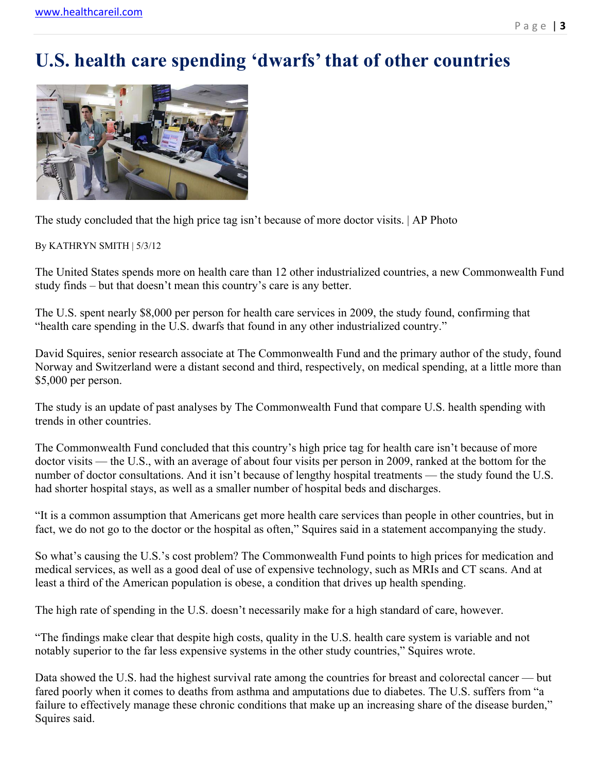## **U.S. health care spending 'dwarfs' that of other countries**



The study concluded that the high price tag isn't because of more doctor visits. | AP Photo

By KATHRYN SMITH | 5/3/12

The United States spends more on health care than 12 other industrialized countries, a new Commonwealth Fund study finds – but that doesn't mean this country's care is any better.

The U.S. spent nearly \$8,000 per person for health care services in 2009, the study found, confirming that "health care spending in the U.S. dwarfs that found in any other industrialized country."

David Squires, senior research associate at The Commonwealth Fund and the primary author of the study, found Norway and Switzerland were a distant second and third, respectively, on medical spending, at a little more than \$5,000 per person.

The study is an update of past analyses by The Commonwealth Fund that compare U.S. health spending with trends in other countries.

The Commonwealth Fund concluded that this country's high price tag for health care isn't because of more doctor visits — the U.S., with an average of about four visits per person in 2009, ranked at the bottom for the number of doctor consultations. And it isn't because of lengthy hospital treatments — the study found the U.S. had shorter hospital stays, as well as a smaller number of hospital beds and discharges.

"It is a common assumption that Americans get more health care services than people in other countries, but in fact, we do not go to the doctor or the hospital as often," Squires said in a statement accompanying the study.

So what's causing the U.S.'s cost problem? The Commonwealth Fund points to high prices for medication and medical services, as well as a good deal of use of expensive technology, such as MRIs and CT scans. And at least a third of the American population is obese, a condition that drives up health spending.

The high rate of spending in the U.S. doesn't necessarily make for a high standard of care, however.

"The findings make clear that despite high costs, quality in the U.S. health care system is variable and not notably superior to the far less expensive systems in the other study countries," Squires wrote.

Data showed the U.S. had the highest survival rate among the countries for breast and colorectal cancer — but fared poorly when it comes to deaths from asthma and amputations due to diabetes. The U.S. suffers from "a failure to effectively manage these chronic conditions that make up an increasing share of the disease burden," Squires said.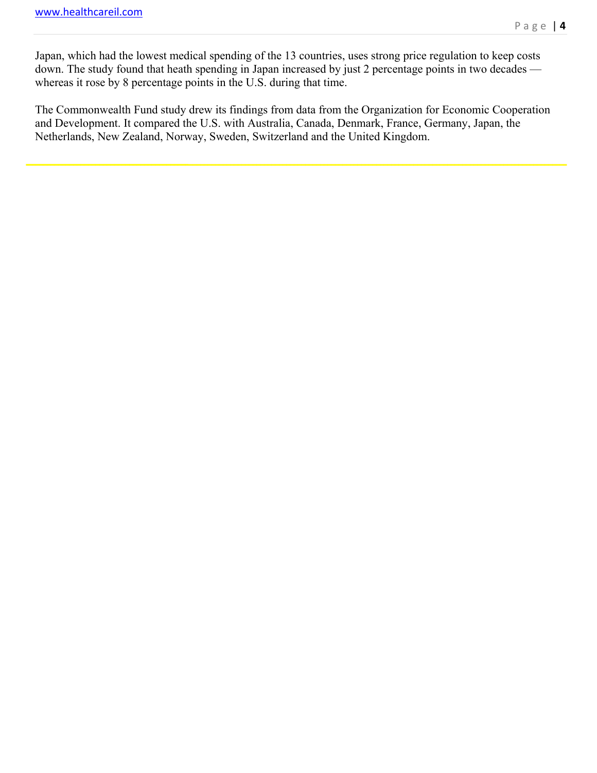Japan, which had the lowest medical spending of the 13 countries, uses strong price regulation to keep costs down. The study found that heath spending in Japan increased by just 2 percentage points in two decades whereas it rose by 8 percentage points in the U.S. during that time.

The Commonwealth Fund study drew its findings from data from the Organization for Economic Cooperation and Development. It compared the U.S. with Australia, Canada, Denmark, France, Germany, Japan, the Netherlands, New Zealand, Norway, Sweden, Switzerland and the United Kingdom.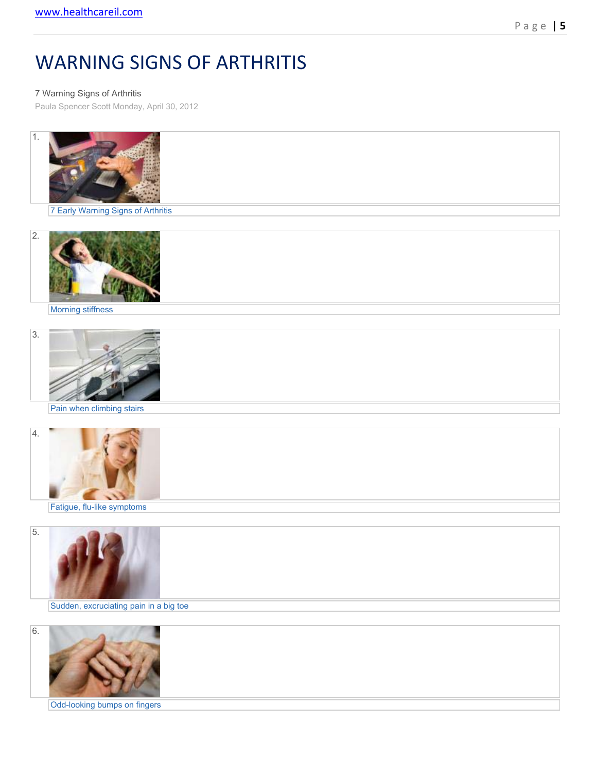## WARNING SIGNS OF ARTHRITIS

#### 7 Warning Signs of Arthritis

Paula Spencer Scott Monday, April 30, 2012





Morning stiffness



Pain when climbing stairs



Fatigue, flu-like symptoms



Sudden, excruciating pain in a big toe

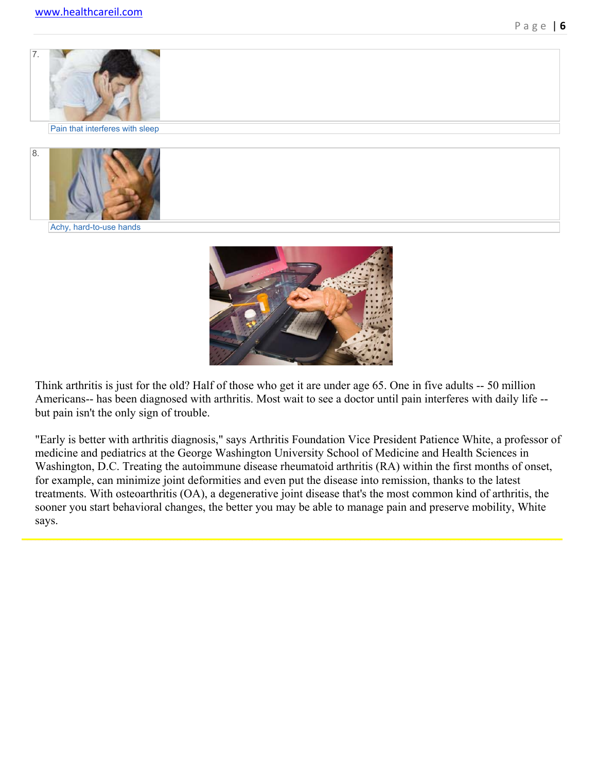

Pain that interferes with sleep



Achy, hard-to-use hands



Think arthritis is just for the old? Half of those who get it are under age 65. One in five adults -- 50 million Americans-- has been diagnosed with arthritis. Most wait to see a doctor until pain interferes with daily life - but pain isn't the only sign of trouble.

"Early is better with arthritis diagnosis," says Arthritis Foundation Vice President Patience White, a professor of medicine and pediatrics at the George Washington University School of Medicine and Health Sciences in Washington, D.C. Treating the autoimmune disease rheumatoid arthritis (RA) within the first months of onset, for example, can minimize joint deformities and even put the disease into remission, thanks to the latest treatments. With osteoarthritis (OA), a degenerative joint disease that's the most common kind of arthritis, the sooner you start behavioral changes, the better you may be able to manage pain and preserve mobility, White says.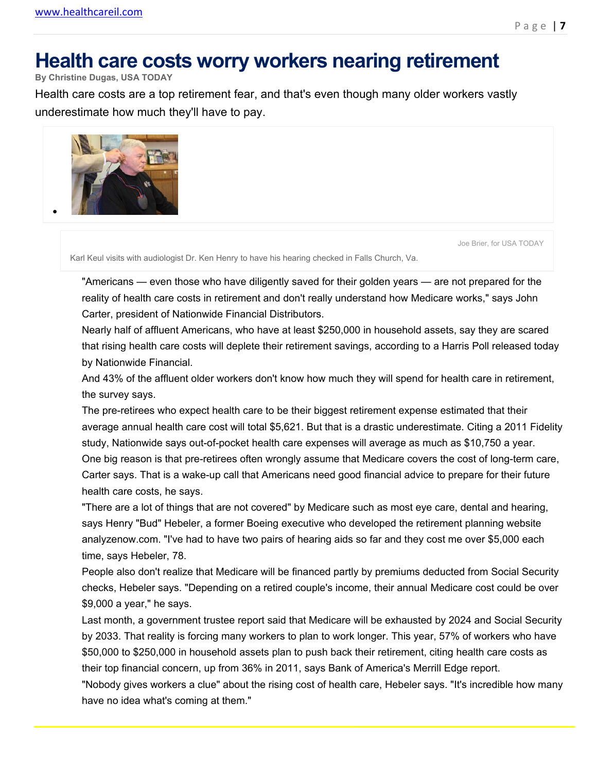## **Health care costs worry workers nearing retirement**

**By Christine Dugas, USA TODAY** 

•

Health care costs are a top retirement fear, and that's even though many older workers vastly underestimate how much they'll have to pay.



Joe Brier, for USA TODAY

Karl Keul visits with audiologist Dr. Ken Henry to have his hearing checked in Falls Church, Va.

"Americans — even those who have diligently saved for their golden years — are not prepared for the reality of health care costs in retirement and don't really understand how Medicare works," says John Carter, president of Nationwide Financial Distributors.

Nearly half of affluent Americans, who have at least \$250,000 in household assets, say they are scared that rising health care costs will deplete their retirement savings, according to a Harris Poll released today by Nationwide Financial.

And 43% of the affluent older workers don't know how much they will spend for health care in retirement, the survey says.

The pre-retirees who expect health care to be their biggest retirement expense estimated that their average annual health care cost will total \$5,621. But that is a drastic underestimate. Citing a 2011 Fidelity study, Nationwide says out-of-pocket health care expenses will average as much as \$10,750 a year. One big reason is that pre-retirees often wrongly assume that Medicare covers the cost of long-term care, Carter says. That is a wake-up call that Americans need good financial advice to prepare for their future health care costs, he says.

"There are a lot of things that are not covered" by Medicare such as most eye care, dental and hearing, says Henry "Bud" Hebeler, a former Boeing executive who developed the retirement planning website analyzenow.com. "I've had to have two pairs of hearing aids so far and they cost me over \$5,000 each time, says Hebeler, 78.

People also don't realize that Medicare will be financed partly by premiums deducted from Social Security checks, Hebeler says. "Depending on a retired couple's income, their annual Medicare cost could be over \$9,000 a year," he says.

Last month, a government trustee report said that Medicare will be exhausted by 2024 and Social Security by 2033. That reality is forcing many workers to plan to work longer. This year, 57% of workers who have \$50,000 to \$250,000 in household assets plan to push back their retirement, citing health care costs as their top financial concern, up from 36% in 2011, says Bank of America's Merrill Edge report.

"Nobody gives workers a clue" about the rising cost of health care, Hebeler says. "It's incredible how many have no idea what's coming at them."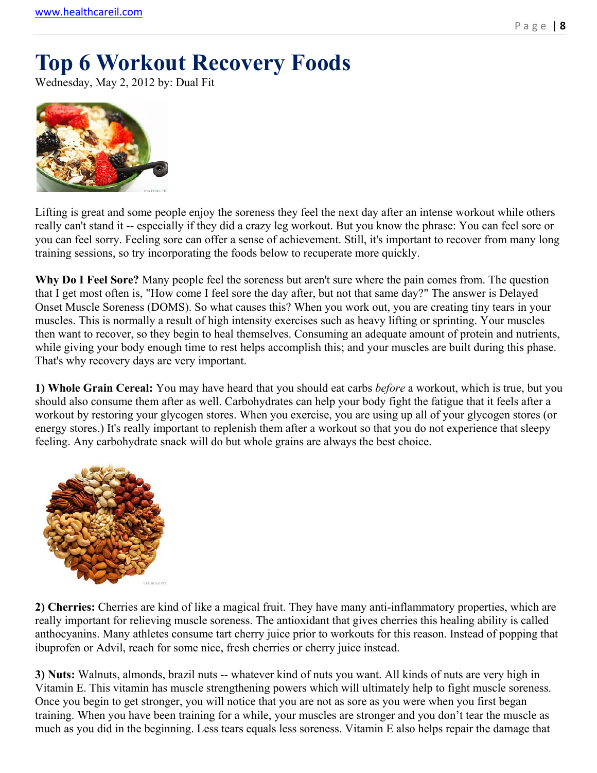# **Top 6 Workout Recovery Foods**

Wednesday, May 2, 2012 by: Dual Fit



Lifting is great and some people enjoy the soreness they feel the next day after an intense workout while others really can't stand it -- especially if they did a crazy leg workout. But you know the phrase: You can feel sore or you can feel sorry. Feeling sore can offer a sense of achievement. Still, it's important to recover from many long training sessions, so try incorporating the foods below to recuperate more quickly.

**Why Do I Feel Sore?** Many people feel the soreness but aren't sure where the pain comes from. The question that I get most often is, "How come I feel sore the day after, but not that same day?" The answer is Delayed Onset Muscle Soreness (DOMS). So what causes this? When you work out, you are creating tiny tears in your muscles. This is normally a result of high intensity exercises such as heavy lifting or sprinting. Your muscles then want to recover, so they begin to heal themselves. Consuming an adequate amount of protein and nutrients, while giving your body enough time to rest helps accomplish this; and your muscles are built during this phase. That's why recovery days are very important.

**1) Whole Grain Cereal:** You may have heard that you should eat carbs *before* a workout, which is true, but you should also consume them after as well. Carbohydrates can help your body fight the fatigue that it feels after a workout by restoring your glycogen stores. When you exercise, you are using up all of your glycogen stores (or energy stores.) It's really important to replenish them after a workout so that you do not experience that sleepy feeling. Any carbohydrate snack will do but whole grains are always the best choice.



**2) Cherries:** Cherries are kind of like a magical fruit. They have many anti-inflammatory properties, which are really important for relieving muscle soreness. The antioxidant that gives cherries this healing ability is called anthocyanins. Many athletes consume tart cherry juice prior to workouts for this reason. Instead of popping that ibuprofen or Advil, reach for some nice, fresh cherries or cherry juice instead.

**3) Nuts:** Walnuts, almonds, brazil nuts -- whatever kind of nuts you want. All kinds of nuts are very high in Vitamin E. This vitamin has muscle strengthening powers which will ultimately help to fight muscle soreness. Once you begin to get stronger, you will notice that you are not as sore as you were when you first began training. When you have been training for a while, your muscles are stronger and you don't tear the muscle as much as you did in the beginning. Less tears equals less soreness. Vitamin E also helps repair the damage that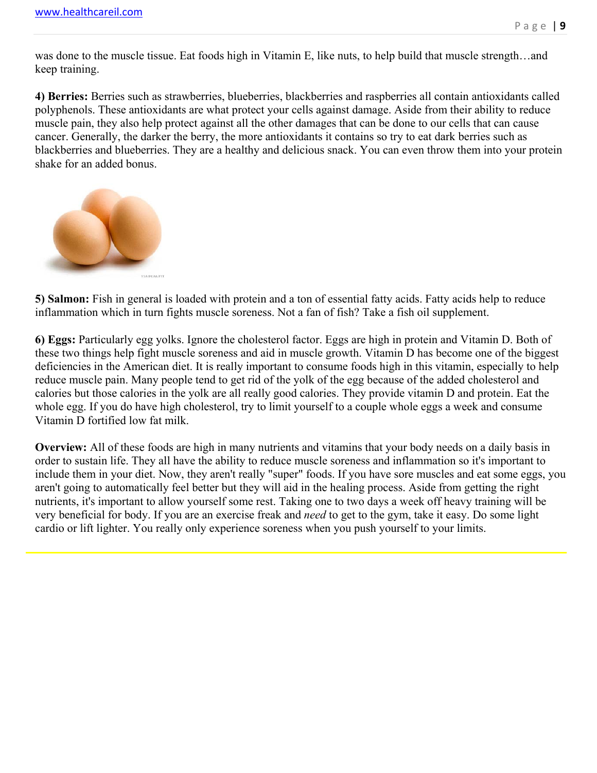was done to the muscle tissue. Eat foods high in Vitamin E, like nuts, to help build that muscle strength…and keep training.

**4) Berries:** Berries such as strawberries, blueberries, blackberries and raspberries all contain antioxidants called polyphenols. These antioxidants are what protect your cells against damage. Aside from their ability to reduce muscle pain, they also help protect against all the other damages that can be done to our cells that can cause cancer. Generally, the darker the berry, the more antioxidants it contains so try to eat dark berries such as blackberries and blueberries. They are a healthy and delicious snack. You can even throw them into your protein shake for an added bonus.



**5) Salmon:** Fish in general is loaded with protein and a ton of essential fatty acids. Fatty acids help to reduce inflammation which in turn fights muscle soreness. Not a fan of fish? Take a fish oil supplement.

**6) Eggs:** Particularly egg yolks. Ignore the cholesterol factor. Eggs are high in protein and Vitamin D. Both of these two things help fight muscle soreness and aid in muscle growth. Vitamin D has become one of the biggest deficiencies in the American diet. It is really important to consume foods high in this vitamin, especially to help reduce muscle pain. Many people tend to get rid of the yolk of the egg because of the added cholesterol and calories but those calories in the yolk are all really good calories. They provide vitamin D and protein. Eat the whole egg. If you do have high cholesterol, try to limit yourself to a couple whole eggs a week and consume Vitamin D fortified low fat milk.

**Overview:** All of these foods are high in many nutrients and vitamins that your body needs on a daily basis in order to sustain life. They all have the ability to reduce muscle soreness and inflammation so it's important to include them in your diet. Now, they aren't really "super" foods. If you have sore muscles and eat some eggs, you aren't going to automatically feel better but they will aid in the healing process. Aside from getting the right nutrients, it's important to allow yourself some rest. Taking one to two days a week off heavy training will be very beneficial for body. If you are an exercise freak and *need* to get to the gym, take it easy. Do some light cardio or lift lighter. You really only experience soreness when you push yourself to your limits.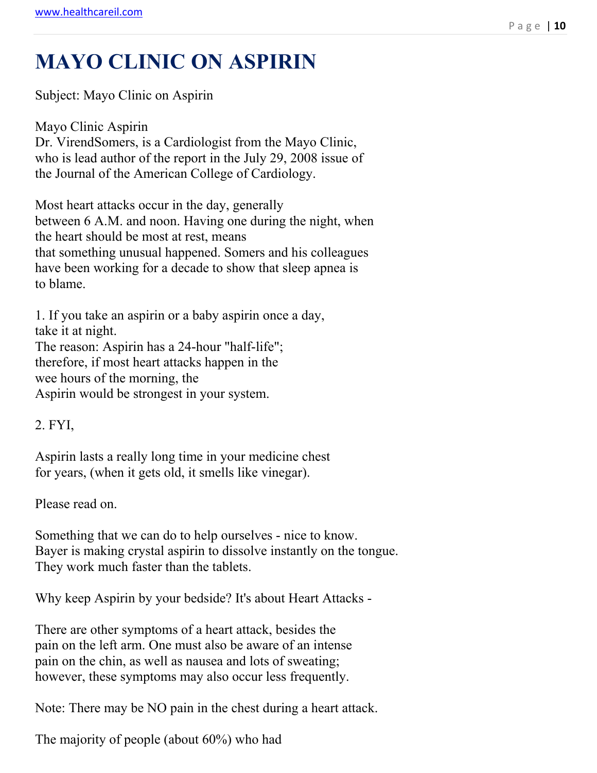# **MAYO CLINIC ON ASPIRIN**

Subject: Mayo Clinic on Aspirin

Mayo Clinic Aspirin Dr. VirendSomers, is a Cardiologist from the Mayo Clinic, who is lead author of the report in the July 29, 2008 issue of the Journal of the American College of Cardiology.

Most heart attacks occur in the day, generally between 6 A.M. and noon. Having one during the night, when the heart should be most at rest, means that something unusual happened. Somers and his colleagues have been working for a decade to show that sleep apnea is to blame.

1. If you take an aspirin or a baby aspirin once a day, take it at night. The reason: Aspirin has a 24-hour "half-life"; therefore, if most heart attacks happen in the wee hours of the morning, the Aspirin would be strongest in your system.

2. FYI,

Aspirin lasts a really long time in your medicine chest for years, (when it gets old, it smells like vinegar).

Please read on.

Something that we can do to help ourselves - nice to know. Bayer is making crystal aspirin to dissolve instantly on the tongue. They work much faster than the tablets.

Why keep Aspirin by your bedside? It's about Heart Attacks -

There are other symptoms of a heart attack, besides the pain on the left arm. One must also be aware of an intense pain on the chin, as well as nausea and lots of sweating; however, these symptoms may also occur less frequently.

Note: There may be NO pain in the chest during a heart attack.

The majority of people (about 60%) who had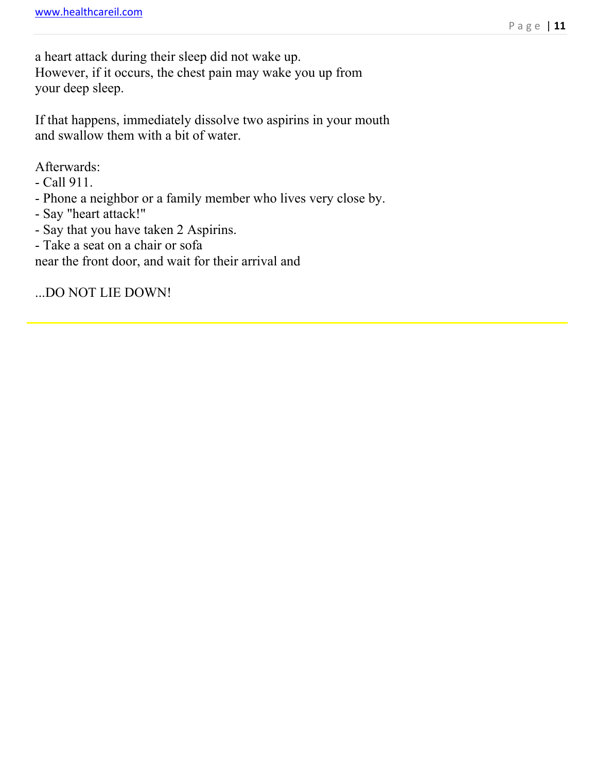a heart attack during their sleep did not wake up. However, if it occurs, the chest pain may wake you up from your deep sleep.

If that happens, immediately dissolve two aspirins in your mouth and swallow them with a bit of water.

Afterwards:

- Call 911.

- Phone a neighbor or a family member who lives very close by.
- Say "heart attack!"
- Say that you have taken 2 Aspirins.
- Take a seat on a chair or sofa

near the front door, and wait for their arrival and

...DO NOT LIE DOWN!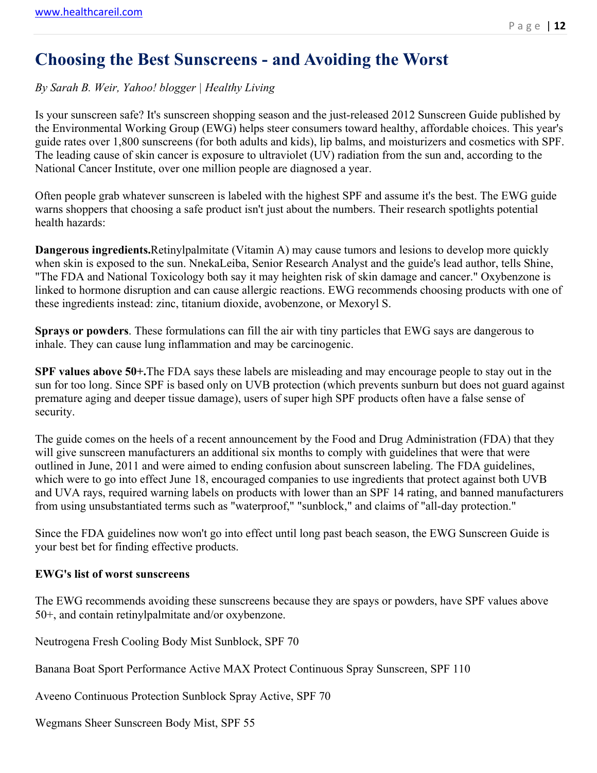### **Choosing the Best Sunscreens - and Avoiding the Worst**

*By Sarah B. Weir, Yahoo! blogger | Healthy Living*

Is your sunscreen safe? It's sunscreen shopping season and the just-released 2012 Sunscreen Guide published by the Environmental Working Group (EWG) helps steer consumers toward healthy, affordable choices. This year's guide rates over 1,800 sunscreens (for both adults and kids), lip balms, and moisturizers and cosmetics with SPF. The leading cause of skin cancer is exposure to ultraviolet (UV) radiation from the sun and, according to the National Cancer Institute, over one million people are diagnosed a year.

Often people grab whatever sunscreen is labeled with the highest SPF and assume it's the best. The EWG guide warns shoppers that choosing a safe product isn't just about the numbers. Their research spotlights potential health hazards:

**Dangerous ingredients.**Retinylpalmitate (Vitamin A) may cause tumors and lesions to develop more quickly when skin is exposed to the sun. NnekaLeiba, Senior Research Analyst and the guide's lead author, tells Shine, "The FDA and National Toxicology both say it may heighten risk of skin damage and cancer." Oxybenzone is linked to hormone disruption and can cause allergic reactions. EWG recommends choosing products with one of these ingredients instead: zinc, titanium dioxide, avobenzone, or Mexoryl S.

**Sprays or powders**. These formulations can fill the air with tiny particles that EWG says are dangerous to inhale. They can cause lung inflammation and may be carcinogenic.

**SPF values above 50+.**The FDA says these labels are misleading and may encourage people to stay out in the sun for too long. Since SPF is based only on UVB protection (which prevents sunburn but does not guard against premature aging and deeper tissue damage), users of super high SPF products often have a false sense of security.

The guide comes on the heels of a recent announcement by the Food and Drug Administration (FDA) that they will give sunscreen manufacturers an additional six months to comply with guidelines that were that were outlined in June, 2011 and were aimed to ending confusion about sunscreen labeling. The FDA guidelines, which were to go into effect June 18, encouraged companies to use ingredients that protect against both UVB and UVA rays, required warning labels on products with lower than an SPF 14 rating, and banned manufacturers from using unsubstantiated terms such as "waterproof," "sunblock," and claims of "all-day protection."

Since the FDA guidelines now won't go into effect until long past beach season, the EWG Sunscreen Guide is your best bet for finding effective products.

### **EWG's list of worst sunscreens**

The EWG recommends avoiding these sunscreens because they are spays or powders, have SPF values above 50+, and contain retinylpalmitate and/or oxybenzone.

Neutrogena Fresh Cooling Body Mist Sunblock, SPF 70

Banana Boat Sport Performance Active MAX Protect Continuous Spray Sunscreen, SPF 110

Aveeno Continuous Protection Sunblock Spray Active, SPF 70

Wegmans Sheer Sunscreen Body Mist, SPF 55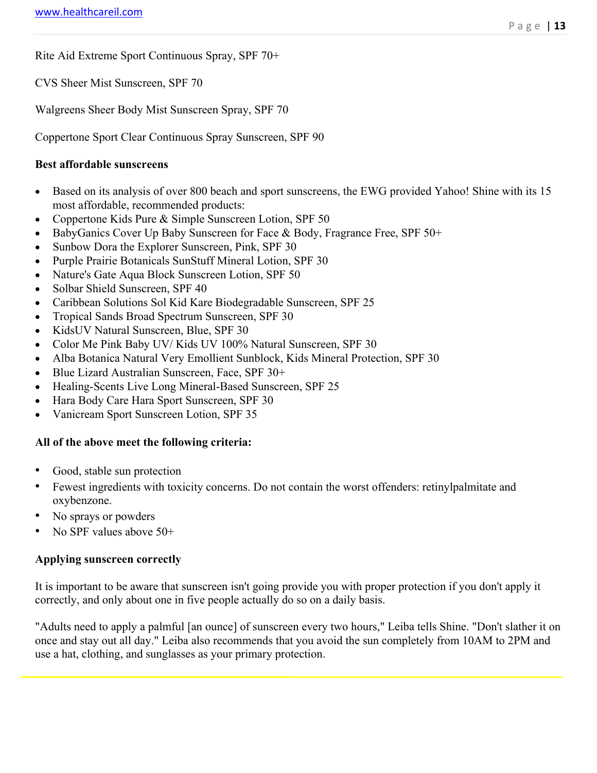Rite Aid Extreme Sport Continuous Spray, SPF 70+

CVS Sheer Mist Sunscreen, SPF 70

Walgreens Sheer Body Mist Sunscreen Spray, SPF 70

Coppertone Sport Clear Continuous Spray Sunscreen, SPF 90

### **Best affordable sunscreens**

- Based on its analysis of over 800 beach and sport sunscreens, the EWG provided Yahoo! Shine with its 15 most affordable, recommended products:
- Coppertone Kids Pure & Simple Sunscreen Lotion, SPF 50
- BabyGanics Cover Up Baby Sunscreen for Face & Body, Fragrance Free, SPF 50+
- Sunbow Dora the Explorer Sunscreen, Pink, SPF 30
- Purple Prairie Botanicals SunStuff Mineral Lotion, SPF 30
- Nature's Gate Aqua Block Sunscreen Lotion, SPF 50
- Solbar Shield Sunscreen, SPF 40
- Caribbean Solutions Sol Kid Kare Biodegradable Sunscreen, SPF 25
- Tropical Sands Broad Spectrum Sunscreen, SPF 30
- KidsUV Natural Sunscreen, Blue, SPF 30
- Color Me Pink Baby UV/ Kids UV 100% Natural Sunscreen, SPF 30
- Alba Botanica Natural Very Emollient Sunblock, Kids Mineral Protection, SPF 30
- Blue Lizard Australian Sunscreen, Face, SPF 30+
- Healing-Scents Live Long Mineral-Based Sunscreen, SPF 25
- Hara Body Care Hara Sport Sunscreen, SPF 30
- Vanicream Sport Sunscreen Lotion, SPF 35

### **All of the above meet the following criteria:**

- Good, stable sun protection
- Fewest ingredients with toxicity concerns. Do not contain the worst offenders: retinylpalmitate and oxybenzone.
- No sprays or powders
- No SPF values above 50+

### **Applying sunscreen correctly**

It is important to be aware that sunscreen isn't going provide you with proper protection if you don't apply it correctly, and only about one in five people actually do so on a daily basis.

"Adults need to apply a palmful [an ounce] of sunscreen every two hours," Leiba tells Shine. "Don't slather it on once and stay out all day." Leiba also recommends that you avoid the sun completely from 10AM to 2PM and use a hat, clothing, and sunglasses as your primary protection.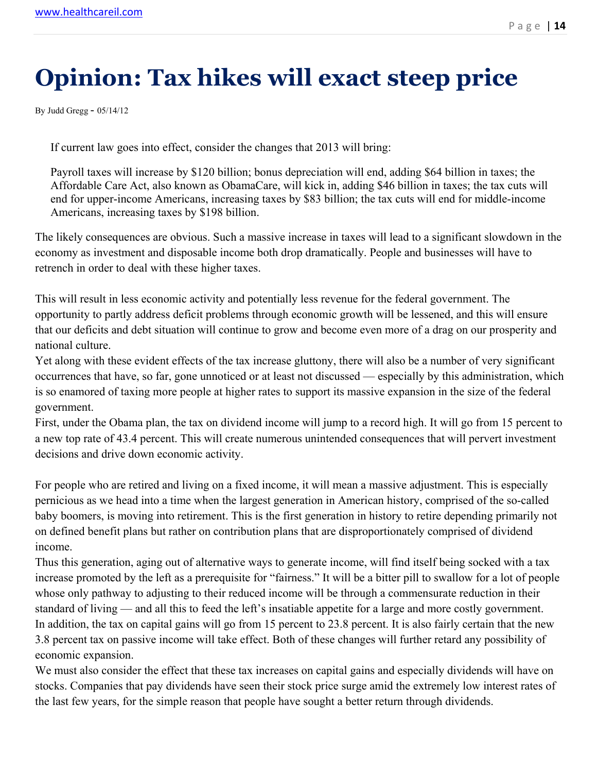# **Opinion: Tax hikes will exact steep price**

By Judd Gregg - 05/14/12

If current law goes into effect, consider the changes that 2013 will bring:

Payroll taxes will increase by \$120 billion; bonus depreciation will end, adding \$64 billion in taxes; the Affordable Care Act, also known as ObamaCare, will kick in, adding \$46 billion in taxes; the tax cuts will end for upper-income Americans, increasing taxes by \$83 billion; the tax cuts will end for middle-income Americans, increasing taxes by \$198 billion.

The likely consequences are obvious. Such a massive increase in taxes will lead to a significant slowdown in the economy as investment and disposable income both drop dramatically. People and businesses will have to retrench in order to deal with these higher taxes.

This will result in less economic activity and potentially less revenue for the federal government. The opportunity to partly address deficit problems through economic growth will be lessened, and this will ensure that our deficits and debt situation will continue to grow and become even more of a drag on our prosperity and national culture.

Yet along with these evident effects of the tax increase gluttony, there will also be a number of very significant occurrences that have, so far, gone unnoticed or at least not discussed — especially by this administration, which is so enamored of taxing more people at higher rates to support its massive expansion in the size of the federal government.

First, under the Obama plan, the tax on dividend income will jump to a record high. It will go from 15 percent to a new top rate of 43.4 percent. This will create numerous unintended consequences that will pervert investment decisions and drive down economic activity.

For people who are retired and living on a fixed income, it will mean a massive adjustment. This is especially pernicious as we head into a time when the largest generation in American history, comprised of the so-called baby boomers, is moving into retirement. This is the first generation in history to retire depending primarily not on defined benefit plans but rather on contribution plans that are disproportionately comprised of dividend income.

Thus this generation, aging out of alternative ways to generate income, will find itself being socked with a tax increase promoted by the left as a prerequisite for "fairness." It will be a bitter pill to swallow for a lot of people whose only pathway to adjusting to their reduced income will be through a commensurate reduction in their standard of living — and all this to feed the left's insatiable appetite for a large and more costly government. In addition, the tax on capital gains will go from 15 percent to 23.8 percent. It is also fairly certain that the new 3.8 percent tax on passive income will take effect. Both of these changes will further retard any possibility of economic expansion.

We must also consider the effect that these tax increases on capital gains and especially dividends will have on stocks. Companies that pay dividends have seen their stock price surge amid the extremely low interest rates of the last few years, for the simple reason that people have sought a better return through dividends.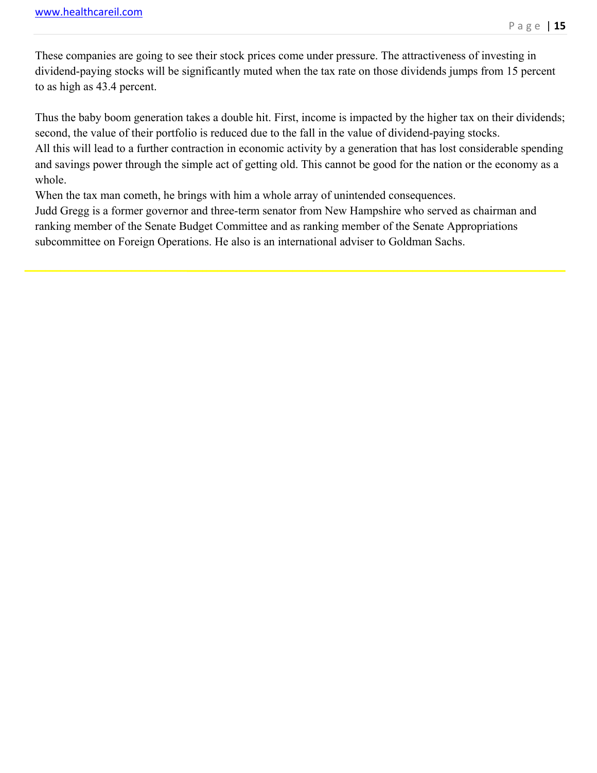These companies are going to see their stock prices come under pressure. The attractiveness of investing in dividend-paying stocks will be significantly muted when the tax rate on those dividends jumps from 15 percent to as high as 43.4 percent.

Thus the baby boom generation takes a double hit. First, income is impacted by the higher tax on their dividends; second, the value of their portfolio is reduced due to the fall in the value of dividend-paying stocks. All this will lead to a further contraction in economic activity by a generation that has lost considerable spending and savings power through the simple act of getting old. This cannot be good for the nation or the economy as a whole.

When the tax man cometh, he brings with him a whole array of unintended consequences.

Judd Gregg is a former governor and three-term senator from New Hampshire who served as chairman and ranking member of the Senate Budget Committee and as ranking member of the Senate Appropriations subcommittee on Foreign Operations. He also is an international adviser to Goldman Sachs.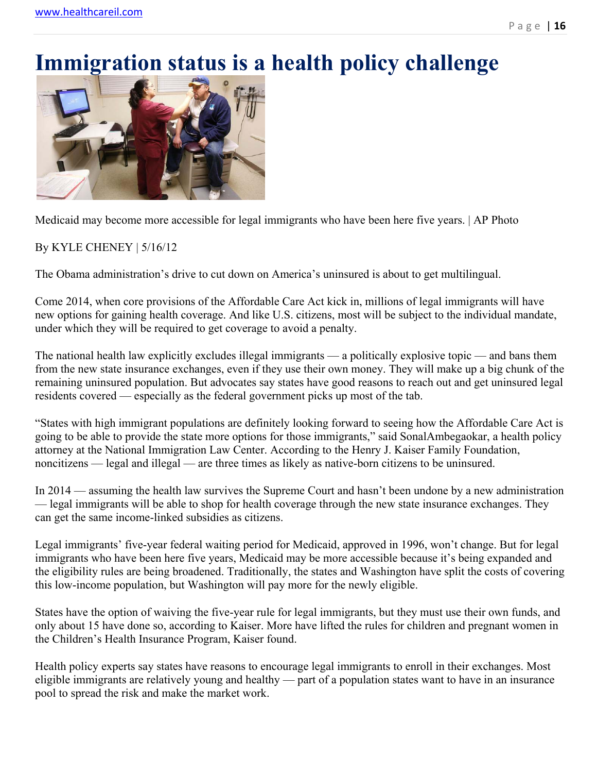# **Immigration status is a health policy challenge**



Medicaid may become more accessible for legal immigrants who have been here five years. | AP Photo

By KYLE CHENEY | 5/16/12

The Obama administration's drive to cut down on America's uninsured is about to get multilingual.

Come 2014, when core provisions of the Affordable Care Act kick in, millions of legal immigrants will have new options for gaining health coverage. And like U.S. citizens, most will be subject to the individual mandate, under which they will be required to get coverage to avoid a penalty.

The national health law explicitly excludes illegal immigrants — a politically explosive topic — and bans them from the new state insurance exchanges, even if they use their own money. They will make up a big chunk of the remaining uninsured population. But advocates say states have good reasons to reach out and get uninsured legal residents covered — especially as the federal government picks up most of the tab.

"States with high immigrant populations are definitely looking forward to seeing how the Affordable Care Act is going to be able to provide the state more options for those immigrants," said SonalAmbegaokar, a health policy attorney at the National Immigration Law Center. According to the Henry J. Kaiser Family Foundation, noncitizens — legal and illegal — are three times as likely as native-born citizens to be uninsured.

In 2014 — assuming the health law survives the Supreme Court and hasn't been undone by a new administration — legal immigrants will be able to shop for health coverage through the new state insurance exchanges. They can get the same income-linked subsidies as citizens.

Legal immigrants' five-year federal waiting period for Medicaid, approved in 1996, won't change. But for legal immigrants who have been here five years, Medicaid may be more accessible because it's being expanded and the eligibility rules are being broadened. Traditionally, the states and Washington have split the costs of covering this low-income population, but Washington will pay more for the newly eligible.

States have the option of waiving the five-year rule for legal immigrants, but they must use their own funds, and only about 15 have done so, according to Kaiser. More have lifted the rules for children and pregnant women in the Children's Health Insurance Program, Kaiser found.

Health policy experts say states have reasons to encourage legal immigrants to enroll in their exchanges. Most eligible immigrants are relatively young and healthy — part of a population states want to have in an insurance pool to spread the risk and make the market work.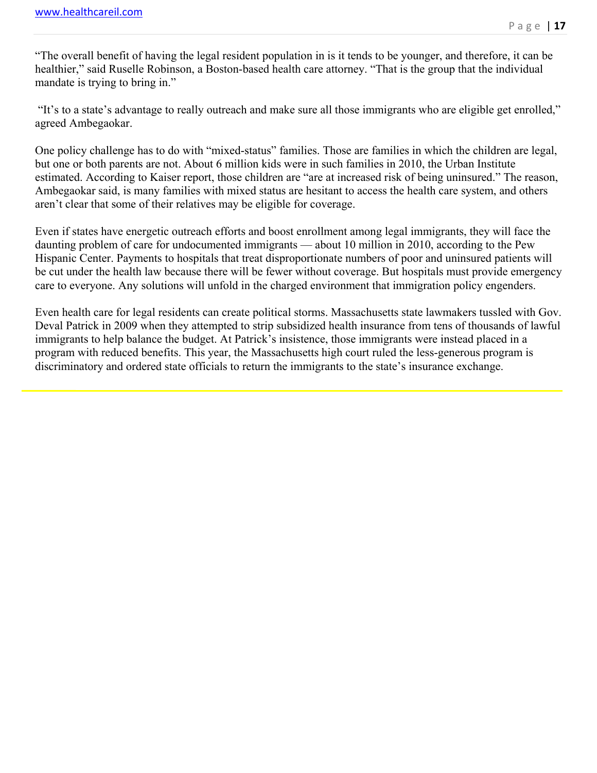Ĩ

"The overall benefit of having the legal resident population in is it tends to be younger, and therefore, it can be healthier," said Ruselle Robinson, a Boston-based health care attorney. "That is the group that the individual mandate is trying to bring in."

 "It's to a state's advantage to really outreach and make sure all those immigrants who are eligible get enrolled," agreed Ambegaokar.

One policy challenge has to do with "mixed-status" families. Those are families in which the children are legal, but one or both parents are not. About 6 million kids were in such families in 2010, the Urban Institute estimated. According to Kaiser report, those children are "are at increased risk of being uninsured." The reason, Ambegaokar said, is many families with mixed status are hesitant to access the health care system, and others aren't clear that some of their relatives may be eligible for coverage.

Even if states have energetic outreach efforts and boost enrollment among legal immigrants, they will face the daunting problem of care for undocumented immigrants — about 10 million in 2010, according to the Pew Hispanic Center. Payments to hospitals that treat disproportionate numbers of poor and uninsured patients will be cut under the health law because there will be fewer without coverage. But hospitals must provide emergency care to everyone. Any solutions will unfold in the charged environment that immigration policy engenders.

Even health care for legal residents can create political storms. Massachusetts state lawmakers tussled with Gov. Deval Patrick in 2009 when they attempted to strip subsidized health insurance from tens of thousands of lawful immigrants to help balance the budget. At Patrick's insistence, those immigrants were instead placed in a program with reduced benefits. This year, the Massachusetts high court ruled the less-generous program is discriminatory and ordered state officials to return the immigrants to the state's insurance exchange.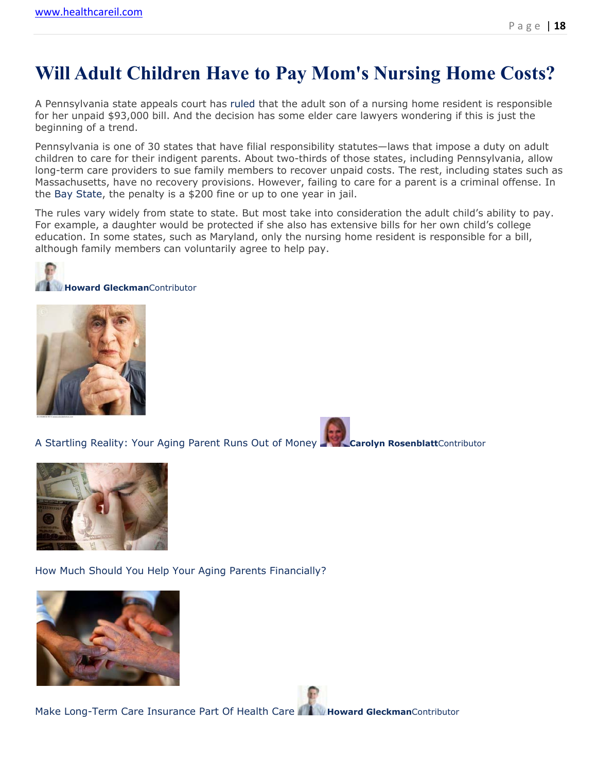## **Will Adult Children Have to Pay Mom's Nursing Home Costs?**

A Pennsylvania state appeals court has ruled that the adult son of a nursing home resident is responsible for her unpaid \$93,000 bill. And the decision has some elder care lawyers wondering if this is just the beginning of a trend.

Pennsylvania is one of 30 states that have filial responsibility statutes—laws that impose a duty on adult children to care for their indigent parents. About two-thirds of those states, including Pennsylvania, allow long-term care providers to sue family members to recover unpaid costs. The rest, including states such as Massachusetts, have no recovery provisions. However, failing to care for a parent is a criminal offense. In the Bay State, the penalty is a \$200 fine or up to one year in jail.

The rules vary widely from state to state. But most take into consideration the adult child's ability to pay. For example, a daughter would be protected if she also has extensive bills for her own child's college education. In some states, such as Maryland, only the nursing home resident is responsible for a bill, although family members can voluntarily agree to help pay.

**oward Gleckman**Contributor



A Startling Reality: Your Aging Parent Runs Out of Money **Carolyn Rosenblatt**Contributor



How Much Should You Help Your Aging Parents Financially?



Make Long-Term Care Insurance Part Of Health Care **Howard Gleckman**Contributor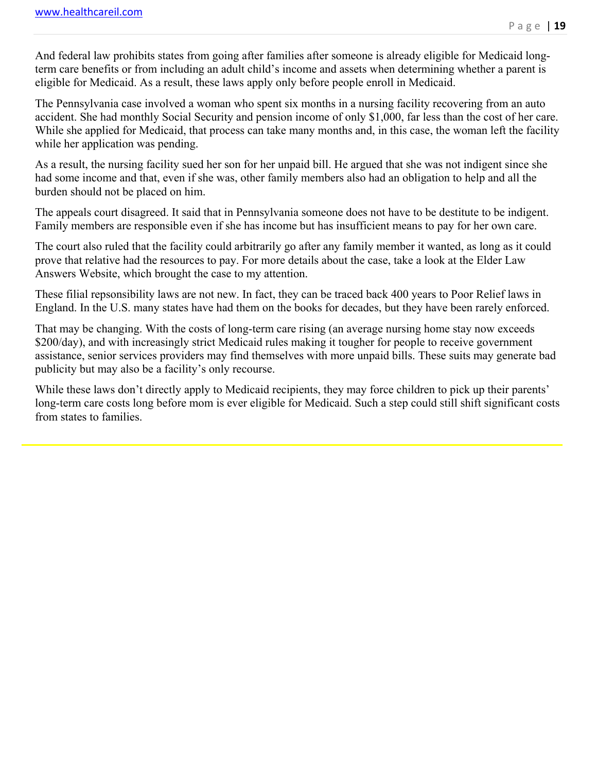And federal law prohibits states from going after families after someone is already eligible for Medicaid longterm care benefits or from including an adult child's income and assets when determining whether a parent is eligible for Medicaid. As a result, these laws apply only before people enroll in Medicaid.

The Pennsylvania case involved a woman who spent six months in a nursing facility recovering from an auto accident. She had monthly Social Security and pension income of only \$1,000, far less than the cost of her care. While she applied for Medicaid, that process can take many months and, in this case, the woman left the facility while her application was pending.

As a result, the nursing facility sued her son for her unpaid bill. He argued that she was not indigent since she had some income and that, even if she was, other family members also had an obligation to help and all the burden should not be placed on him.

The appeals court disagreed. It said that in Pennsylvania someone does not have to be destitute to be indigent. Family members are responsible even if she has income but has insufficient means to pay for her own care.

The court also ruled that the facility could arbitrarily go after any family member it wanted, as long as it could prove that relative had the resources to pay. For more details about the case, take a look at the Elder Law Answers Website, which brought the case to my attention.

These filial repsonsibility laws are not new. In fact, they can be traced back 400 years to Poor Relief laws in England. In the U.S. many states have had them on the books for decades, but they have been rarely enforced.

That may be changing. With the costs of long-term care rising (an average nursing home stay now exceeds \$200/day), and with increasingly strict Medicaid rules making it tougher for people to receive government assistance, senior services providers may find themselves with more unpaid bills. These suits may generate bad publicity but may also be a facility's only recourse.

While these laws don't directly apply to Medicaid recipients, they may force children to pick up their parents' long-term care costs long before mom is ever eligible for Medicaid. Such a step could still shift significant costs from states to families.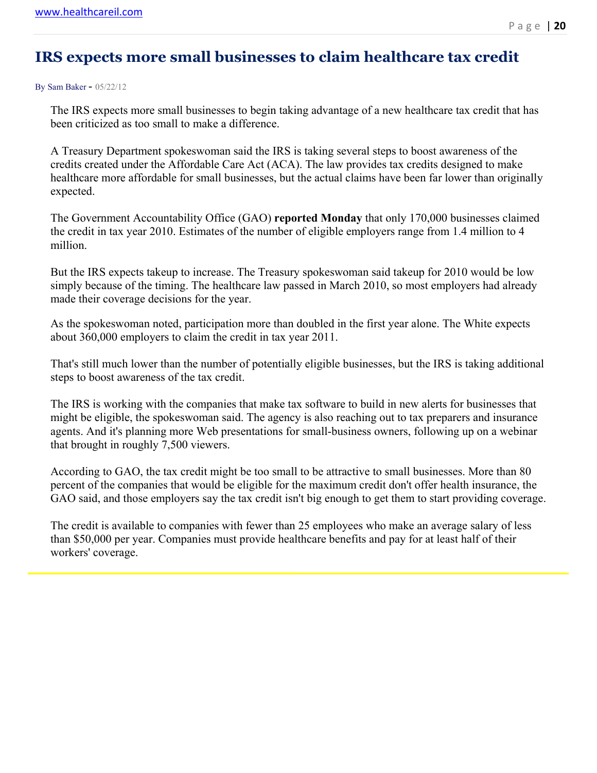### **IRS expects more small businesses to claim healthcare tax credit**

By Sam Baker - 05/22/12

The IRS expects more small businesses to begin taking advantage of a new healthcare tax credit that has been criticized as too small to make a difference.

A Treasury Department spokeswoman said the IRS is taking several steps to boost awareness of the credits created under the Affordable Care Act (ACA). The law provides tax credits designed to make healthcare more affordable for small businesses, but the actual claims have been far lower than originally expected.

The Government Accountability Office (GAO) **reported Monday** that only 170,000 businesses claimed the credit in tax year 2010. Estimates of the number of eligible employers range from 1.4 million to 4 million.

But the IRS expects takeup to increase. The Treasury spokeswoman said takeup for 2010 would be low simply because of the timing. The healthcare law passed in March 2010, so most employers had already made their coverage decisions for the year.

As the spokeswoman noted, participation more than doubled in the first year alone. The White expects about 360,000 employers to claim the credit in tax year 2011.

That's still much lower than the number of potentially eligible businesses, but the IRS is taking additional steps to boost awareness of the tax credit.

The IRS is working with the companies that make tax software to build in new alerts for businesses that might be eligible, the spokeswoman said. The agency is also reaching out to tax preparers and insurance agents. And it's planning more Web presentations for small-business owners, following up on a webinar that brought in roughly 7,500 viewers.

According to GAO, the tax credit might be too small to be attractive to small businesses. More than 80 percent of the companies that would be eligible for the maximum credit don't offer health insurance, the GAO said, and those employers say the tax credit isn't big enough to get them to start providing coverage.

The credit is available to companies with fewer than 25 employees who make an average salary of less than \$50,000 per year. Companies must provide healthcare benefits and pay for at least half of their workers' coverage.